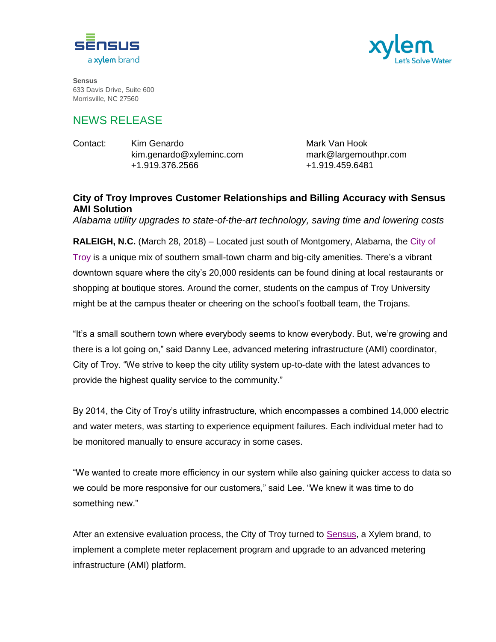



**Sensus** 633 Davis Drive, Suite 600 Morrisville, NC 27560

## NEWS RELEASE

| Contact: | Kim Genardo              | Mark Van Hook         |
|----------|--------------------------|-----------------------|
|          | kim.genardo@xyleminc.com | mark@largemouthpr.com |
|          | +1.919.376.2566          | +1.919.459.6481       |

## **City of Troy Improves Customer Relationships and Billing Accuracy with Sensus AMI Solution**

*Alabama utility upgrades to state-of-the-art technology, saving time and lowering costs*

**RALEIGH, N.C.** (March 28, 2018) – Located just south of Montgomery, Alabama, the [City of](http://www.troyal.gov/) [Troy](http://www.troyal.gov/) is a unique mix of southern small-town charm and big-city amenities. There's a vibrant downtown square where the city's 20,000 residents can be found dining at local restaurants or shopping at boutique stores. Around the corner, students on the campus of Troy University might be at the campus theater or cheering on the school's football team, the Trojans.

"It's a small southern town where everybody seems to know everybody. But, we're growing and there is a lot going on," said Danny Lee, advanced metering infrastructure (AMI) coordinator, City of Troy. "We strive to keep the city utility system up-to-date with the latest advances to provide the highest quality service to the community."

By 2014, the City of Troy's utility infrastructure, which encompasses a combined 14,000 electric and water meters, was starting to experience equipment failures. Each individual meter had to be monitored manually to ensure accuracy in some cases.

"We wanted to create more efficiency in our system while also gaining quicker access to data so we could be more responsive for our customers," said Lee. "We knew it was time to do something new."

After an extensive evaluation process, the City of Troy turned to [Sensus,](http://www.sensus.com/) a Xylem brand, to implement a complete meter replacement program and upgrade to an advanced metering infrastructure (AMI) platform.